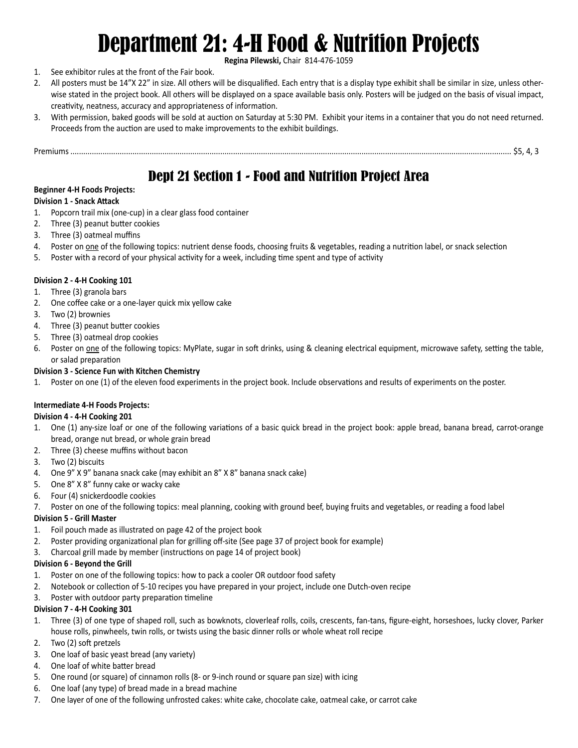# Department 21: 4-H Food & Nutrition Projects

**Regina Pilewski,** Chair 814-476-1059

- 1. See exhibitor rules at the front of the Fair book.
- 2. All posters must be 14"X 22" in size. All others will be disqualified. Each entry that is a display type exhibit shall be similar in size, unless otherwise stated in the project book. All others will be displayed on a space available basis only. Posters will be judged on the basis of visual impact, creativity, neatness, accuracy and appropriateness of information.
- 3. With permission, baked goods will be sold at auction on Saturday at 5:30 PM. Exhibit your items in a container that you do not need returned. Proceeds from the auction are used to make improvements to the exhibit buildings.

Premiums .............................................................................................................................................................................................................. \$5, 4, 3

# Dept 21 Section 1 - Food and Nutrition Project Area

# **Beginner 4-H Foods Projects:**

# **Division 1 - Snack Attack**

- 1. Popcorn trail mix (one-cup) in a clear glass food container
- 2. Three (3) peanut butter cookies
- 3. Three (3) oatmeal muffins
- 4. Poster on one of the following topics: nutrient dense foods, choosing fruits & vegetables, reading a nutrition label, or snack selection
- 5. Poster with a record of your physical activity for a week, including time spent and type of activity

#### **Division 2 - 4-H Cooking 101**

- 1. Three (3) granola bars
- 2. One coffee cake or a one-layer quick mix yellow cake
- 3. Two (2) brownies
- 4. Three (3) peanut butter cookies
- 5. Three (3) oatmeal drop cookies
- 6. Poster on one of the following topics: MyPlate, sugar in soft drinks, using & cleaning electrical equipment, microwave safety, setting the table, or salad preparation

# **Division 3 - Science Fun with Kitchen Chemistry**

1. Poster on one (1) of the eleven food experiments in the project book. Include observations and results of experiments on the poster.

# **Intermediate 4-H Foods Projects:**

#### **Division 4 - 4-H Cooking 201**

- 1. One (1) any-size loaf or one of the following variations of a basic quick bread in the project book: apple bread, banana bread, carrot-orange bread, orange nut bread, or whole grain bread
- 2. Three (3) cheese muffins without bacon
- 3. Two (2) biscuits
- 4. One 9" X 9" banana snack cake (may exhibit an 8" X 8" banana snack cake)
- 5. One 8" X 8" funny cake or wacky cake
- 6. Four (4) snickerdoodle cookies
- 7. Poster on one of the following topics: meal planning, cooking with ground beef, buying fruits and vegetables, or reading a food label

# **Division 5 - Grill Master**

- 1. Foil pouch made as illustrated on page 42 of the project book
- 2. Poster providing organizational plan for grilling off-site (See page 37 of project book for example)
- 3. Charcoal grill made by member (instructions on page 14 of project book)

#### **Division 6 - Beyond the Grill**

- 1. Poster on one of the following topics: how to pack a cooler OR outdoor food safety
- 2. Notebook or collection of 5-10 recipes you have prepared in your project, include one Dutch-oven recipe
- 3. Poster with outdoor party preparation timeline

#### **Division 7 - 4-H Cooking 301**

- 1. Three (3) of one type of shaped roll, such as bowknots, cloverleaf rolls, coils, crescents, fan-tans, figure-eight, horseshoes, lucky clover, Parker house rolls, pinwheels, twin rolls, or twists using the basic dinner rolls or whole wheat roll recipe
- 2. Two (2) soft pretzels
- 3. One loaf of basic yeast bread (any variety)
- 4. One loaf of white batter bread
- 5. One round (or square) of cinnamon rolls (8- or 9-inch round or square pan size) with icing
- 6. One loaf (any type) of bread made in a bread machine
- 7. One layer of one of the following unfrosted cakes: white cake, chocolate cake, oatmeal cake, or carrot cake